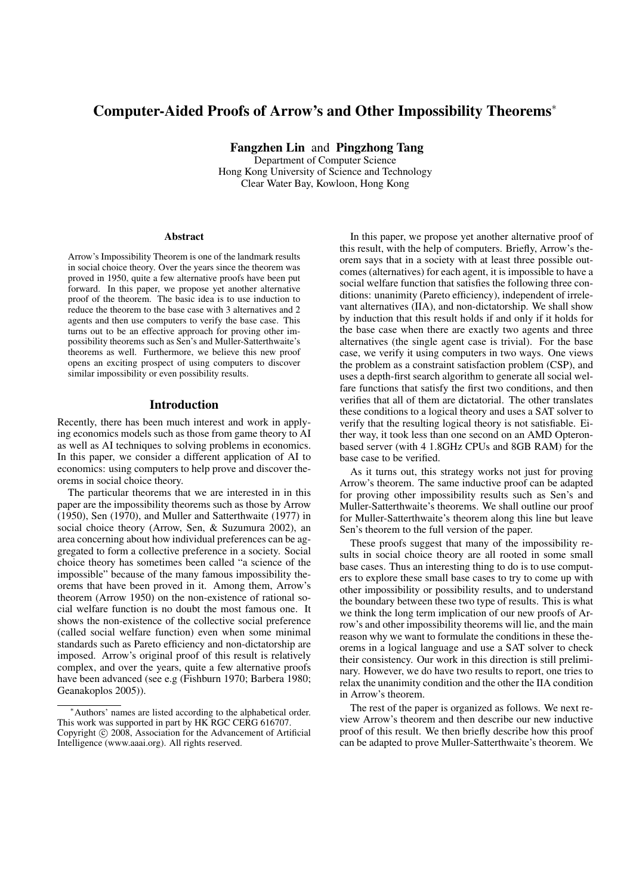# Computer-Aided Proofs of Arrow's and Other Impossibility Theorems<sup>∗</sup>

Fangzhen Lin and Pingzhong Tang Department of Computer Science Hong Kong University of Science and Technology Clear Water Bay, Kowloon, Hong Kong

#### Abstract

Arrow's Impossibility Theorem is one of the landmark results in social choice theory. Over the years since the theorem was proved in 1950, quite a few alternative proofs have been put forward. In this paper, we propose yet another alternative proof of the theorem. The basic idea is to use induction to reduce the theorem to the base case with 3 alternatives and 2 agents and then use computers to verify the base case. This turns out to be an effective approach for proving other impossibility theorems such as Sen's and Muller-Satterthwaite's theorems as well. Furthermore, we believe this new proof opens an exciting prospect of using computers to discover similar impossibility or even possibility results.

# Introduction

Recently, there has been much interest and work in applying economics models such as those from game theory to AI as well as AI techniques to solving problems in economics. In this paper, we consider a different application of AI to economics: using computers to help prove and discover theorems in social choice theory.

The particular theorems that we are interested in in this paper are the impossibility theorems such as those by Arrow (1950), Sen (1970), and Muller and Satterthwaite (1977) in social choice theory (Arrow, Sen, & Suzumura 2002), an area concerning about how individual preferences can be aggregated to form a collective preference in a society. Social choice theory has sometimes been called "a science of the impossible" because of the many famous impossibility theorems that have been proved in it. Among them, Arrow's theorem (Arrow 1950) on the non-existence of rational social welfare function is no doubt the most famous one. It shows the non-existence of the collective social preference (called social welfare function) even when some minimal standards such as Pareto efficiency and non-dictatorship are imposed. Arrow's original proof of this result is relatively complex, and over the years, quite a few alternative proofs have been advanced (see e.g (Fishburn 1970; Barbera 1980; Geanakoplos 2005)).

In this paper, we propose yet another alternative proof of this result, with the help of computers. Briefly, Arrow's theorem says that in a society with at least three possible outcomes (alternatives) for each agent, it is impossible to have a social welfare function that satisfies the following three conditions: unanimity (Pareto efficiency), independent of irrelevant alternatives (IIA), and non-dictatorship. We shall show by induction that this result holds if and only if it holds for the base case when there are exactly two agents and three alternatives (the single agent case is trivial). For the base case, we verify it using computers in two ways. One views the problem as a constraint satisfaction problem (CSP), and uses a depth-first search algorithm to generate all social welfare functions that satisfy the first two conditions, and then verifies that all of them are dictatorial. The other translates these conditions to a logical theory and uses a SAT solver to verify that the resulting logical theory is not satisfiable. Either way, it took less than one second on an AMD Opteronbased server (with 4 1.8GHz CPUs and 8GB RAM) for the base case to be verified.

As it turns out, this strategy works not just for proving Arrow's theorem. The same inductive proof can be adapted for proving other impossibility results such as Sen's and Muller-Satterthwaite's theorems. We shall outline our proof for Muller-Satterthwaite's theorem along this line but leave Sen's theorem to the full version of the paper.

These proofs suggest that many of the impossibility results in social choice theory are all rooted in some small base cases. Thus an interesting thing to do is to use computers to explore these small base cases to try to come up with other impossibility or possibility results, and to understand the boundary between these two type of results. This is what we think the long term implication of our new proofs of Arrow's and other impossibility theorems will lie, and the main reason why we want to formulate the conditions in these theorems in a logical language and use a SAT solver to check their consistency. Our work in this direction is still preliminary. However, we do have two results to report, one tries to relax the unanimity condition and the other the IIA condition in Arrow's theorem.

The rest of the paper is organized as follows. We next review Arrow's theorem and then describe our new inductive proof of this result. We then briefly describe how this proof can be adapted to prove Muller-Satterthwaite's theorem. We

<sup>∗</sup>Authors' names are listed according to the alphabetical order. This work was supported in part by HK RGC CERG 616707. Copyright  $\odot$  2008, Association for the Advancement of Artificial

Intelligence (www.aaai.org). All rights reserved.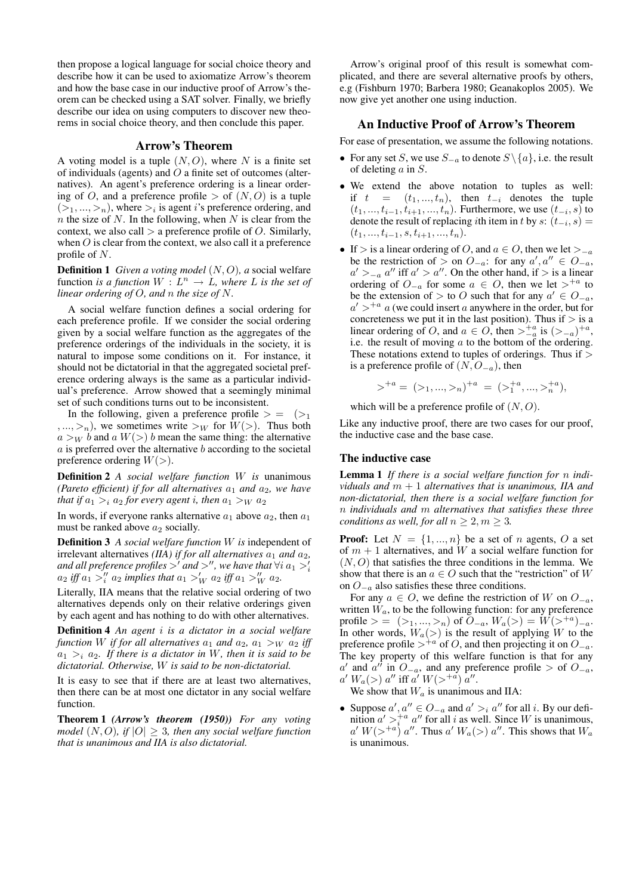then propose a logical language for social choice theory and describe how it can be used to axiomatize Arrow's theorem and how the base case in our inductive proof of Arrow's theorem can be checked using a SAT solver. Finally, we briefly describe our idea on using computers to discover new theorems in social choice theory, and then conclude this paper.

# Arrow's Theorem

A voting model is a tuple  $(N, O)$ , where N is a finite set of individuals (agents) and  $\ddot{O}$  a finite set of outcomes (alternatives). An agent's preference ordering is a linear ordering of O, and a preference profile  $>$  of  $(N, O)$  is a tuple  $(>_1, ..., >_n)$ , where  $>_i$  is agent *i*'s preference ordering, and  $n$  the size of N. In the following, when N is clear from the context, we also call  $>$  a preference profile of  $O$ . Similarly, when  $O$  is clear from the context, we also call it a preference profile of N.

**Definition 1** *Given a voting model*  $(N, O)$ *, a social welfare* function *is a function*  $W: L^n \to L$ *, where* L *is the set of linear ordering of* O*, and* n *the size of* N*.*

A social welfare function defines a social ordering for each preference profile. If we consider the social ordering given by a social welfare function as the aggregates of the preference orderings of the individuals in the society, it is natural to impose some conditions on it. For instance, it should not be dictatorial in that the aggregated societal preference ordering always is the same as a particular individual's preference. Arrow showed that a seemingly minimal set of such conditions turns out to be inconsistent.

In the following, given a preference profile  $> =$   $(>_{1}$  $,..., >n$ , we sometimes write  $>_{W}$  for  $W(>)$ . Thus both  $a >_W b$  and  $a W(>) b$  mean the same thing: the alternative  $a$  is preferred over the alternative  $b$  according to the societal preference ordering  $W(>)$ .

Definition 2 *A social welfare function* W *is* unanimous *(Pareto efficient) if for all alternatives*  $a_1$  *and*  $a_2$ *, we have that if*  $a_1 >_i a_2$  *for every agent i, then*  $a_1 >_W a_2$ 

In words, if everyone ranks alternative  $a_1$  above  $a_2$ , then  $a_1$ must be ranked above  $a_2$  socially.

Definition 3 *A social welfare function* W *is* independent of irrelevant alternatives *(IIA)* if for all alternatives  $a_1$  and  $a_2$ , *and all preference profiles*  $>^{\prime}$  *and*  $>^{\prime\prime}$ *, we have that*  $\forall i$   $a_1 >^{\prime}_i$  $a_2$  *iff*  $a_1 >''_i a_2$  *implies that*  $a_1 >'_W a_2$  *iff*  $a_1 >''_W a_2$ *.* 

Literally, IIA means that the relative social ordering of two alternatives depends only on their relative orderings given by each agent and has nothing to do with other alternatives.

Definition 4 *An agent* i *is a dictator in a social welfare function* W *if for all alternatives*  $a_1$  *and*  $a_2$ *,*  $a_1 >_W a_2$  *iff*  $a_1 >_i a_2$ . If there is a dictator in W, then it is said to be *dictatorial. Otherwise,* W *is said to be non-dictatorial.*

It is easy to see that if there are at least two alternatives, then there can be at most one dictator in any social welfare function.

Theorem 1 *(Arrow's theorem (1950)) For any voting model* (N, O)*, if* |O| ≥ 3*, then any social welfare function that is unanimous and IIA is also dictatorial.*

Arrow's original proof of this result is somewhat complicated, and there are several alternative proofs by others, e.g (Fishburn 1970; Barbera 1980; Geanakoplos 2005). We now give yet another one using induction.

# An Inductive Proof of Arrow's Theorem

For ease of presentation, we assume the following notations.

- For any set S, we use  $S_{-a}$  to denote  $S \setminus \{a\}$ , i.e. the result of deleting a in S.
- We extend the above notation to tuples as well: if  $t = (t_1, ..., t_n)$ , then  $t_{-i}$  denotes the tuple  $(t_1, ..., t_{i-1}, t_{i+1}, ..., t_n)$ . Furthermore, we use  $(t_{-i}, s)$  to denote the result of replacing *i*th item in t by s:  $(t_{-i}, s)$  =  $(t_1, ..., t_{i-1}, s, t_{i+1}, ..., t_n).$
- If > is a linear ordering of O, and  $a \in O$ , then we let ><sub> $-a$ </sub> be the restriction of > on  $O_{-a}$ : for any  $a', a'' \in O_{-a}$ ,  $a' >_{-a} a''$  iff  $a' > a''$ . On the other hand, if > is a linear ordering of  $O_{-a}$  for some  $a \in O$ , then we let  $>^{+a}$  to be the extension of > to O such that for any  $a' \in O_{-a}$ ,  $a'$  ><sup>+a</sup> a (we could insert a anywhere in the order, but for concreteness we put it in the last position). Thus if  $>$  is a linear ordering of O, and  $a \in O$ , then  $>_{-a}^{+a}$  is  $(>_{-a})^{+a}$ , i.e. the result of moving  $a$  to the bottom of the ordering. These notations extend to tuples of orderings. Thus if  $>$ is a preference profile of  $(N, O_{-a})$ , then

$$
\gt^{+a} = (a_1, \ldots, a_n)^{+a} = (a_1 + a_2, \ldots, a_n + a_n),
$$

which will be a preference profile of  $(N, O)$ .

Like any inductive proof, there are two cases for our proof, the inductive case and the base case.

## The inductive case

Lemma 1 *If there is a social welfare function for* n *individuals and* m + 1 *alternatives that is unanimous, IIA and non-dictatorial, then there is a social welfare function for* n *individuals and* m *alternatives that satisfies these three conditions as well, for all*  $n \geq 2, m \geq 3$ .

**Proof:** Let  $N = \{1, ..., n\}$  be a set of n agents, O a set of  $m + 1$  alternatives, and W a social welfare function for  $(N, O)$  that satisfies the three conditions in the lemma. We show that there is an  $a \in O$  such that the "restriction" of W on  $O_{-a}$  also satisfies these three conditions.

For any  $a \in O$ , we define the restriction of W on  $O_{-a}$ , written  $W_a$ , to be the following function: for any preference profile > =  $(>_1, ..., >_n)$  of  $O_{-a}$ ,  $W_a(>) = W(>^{+a})_{-a}$ . In other words,  $W_a(\gt)$  is the result of applying W to the preference profile ><sup>+a</sup> of O, and then projecting it on  $O_{-a}$ . The key property of this welfare function is that for any  $a'$  and  $a''$  in  $O_{-a}$ , and any preference profile > of  $O_{-a}$ ,  $a' W_a(>) a''$  iff  $a' W(>^{+a}) a''$ .

We show that  $W_a$  is unanimous and IIA:

• Suppose  $a', a'' \in O_{-a}$  and  $a' >_i a''$  for all i. By our definition  $a' >_i^{+a} a''$  for all i as well. Since W is unanimous,  $a' W(>^{+a}) a''$ . Thus  $a' W_a(>) a''$ . This shows that  $W_a$ is unanimous.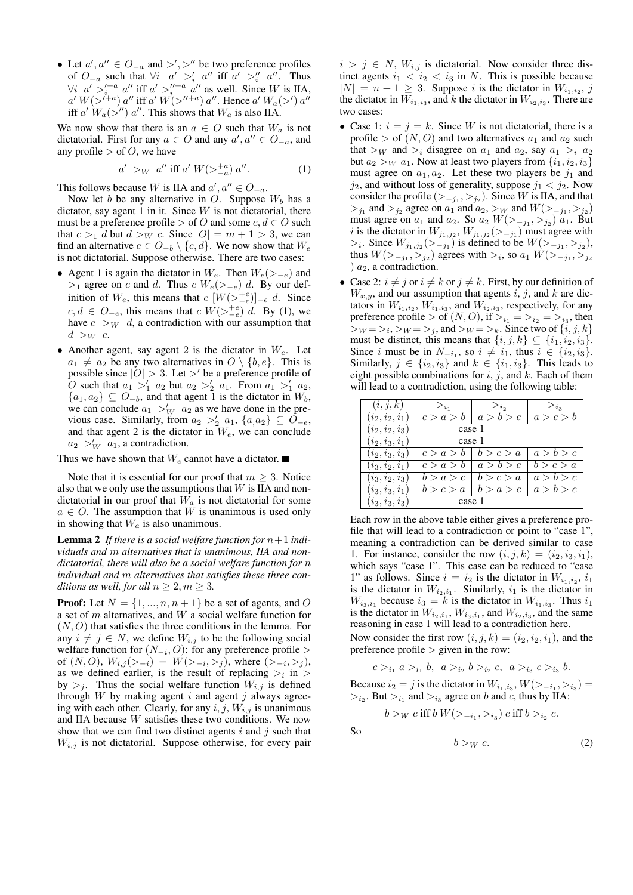• Let  $a', a'' \in O_{-a}$  and  $\gt', \gt'''$  be two preference profiles of  $O_{-a}$  such that  $\forall i \quad a' >'_i a''$  iff  $a' >''_i a''$ . Thus  $\forall i \ a' >_{i}^{i+a} a''$  iff  $a' >_{i}^{i'+a} a''$  as well. Since W is IIA,  $a' W(>^{\ell+a}) a''$  iff  $a' W(>^{\ell+a}) a''$ . Hence  $a' W_a(>^{\ell}) a''$ iff  $a'$   $W_a$ ( $>$ ")  $a''$ . This shows that  $W_a$  is also IIA.

We now show that there is an  $a \in O$  such that  $W_a$  is not dictatorial. First for any  $a \in O$  and any  $a', a'' \in O_{-a}$ , and any profile  $>$  of O, we have

$$
a' >_W a'' \text{ iff } a' W(>\_{a}^{+a}) a''.
$$
 (1)

This follows because W is IIA and  $a', a'' \in O_{-a}$ .

Now let b be any alternative in O. Suppose  $W_b$  has a dictator, say agent 1 in it. Since  $W$  is not dictatorial, there must be a preference profile > of O and some  $c, d \in O$  such that  $c >_1 d$  but  $d >_W c$ . Since  $|O| = m + 1 > 3$ , we can find an alternative  $e \in O_{-b} \setminus \{c, d\}$ . We now show that  $W_e$ is not dictatorial. Suppose otherwise. There are two cases:

- Agent 1 is again the dictator in  $W_e$ . Then  $W_e(\geq -e)$  and ><sub>1</sub> agree on c and d. Thus c  $W_e$ (><sub>−e</sub>) d. By our definition of  $W_e$ , this means that  $c\ [W({>_{-e}^{+e}})]_{-e}$  d. Since  $c, d \in O_{-e}$ , this means that  $c W(>\frac{+e}{-e}) d$ . By (1), we have  $c >_W d$ , a contradiction with our assumption that  $d >_W c$ .
- Another agent, say agent 2 is the dictator in  $W_e$ . Let  $a_1 \neq a_2$  be any two alternatives in  $O \setminus \{b, e\}$ . This is possible since  $|O| > 3$ . Let  $>$ ' be a preference profile of *O* such that  $a_1 >'_1 a_2$  but  $a_2 >'_2 a_1$ . From  $a_1 >'_1 a_2$ ,  ${a_1, a_2} \subseteq O_{-b}$ , and that agent 1 is the dictator in  $W_b$ , we can conclude  $a_1 >_W a_2$  as we have done in the previous case. Similarly, from  $a_2 >_2' a_1$ ,  $\{a_1, a_2\} \subseteq \tilde{O}_{-e}$ , and that agent 2 is the dictator in  $W_e$ , we can conclude  $a_2 >_W a_1$ , a contradiction.

Thus we have shown that  $W_e$  cannot have a dictator.

Note that it is essential for our proof that  $m \geq 3$ . Notice also that we only use the assumptions that  $W$  is IIA and nondictatorial in our proof that  $W_a$  is not dictatorial for some  $a \in O$ . The assumption that W is unanimous is used only in showing that  $W_a$  is also unanimous.

**Lemma 2** If there is a social welfare function for  $n+1$  indi*viduals and* m *alternatives that is unanimous, IIA and nondictatorial, there will also be a social welfare function for* n *individual and* m *alternatives that satisfies these three conditions as well, for all*  $n \geq 2, m \geq 3$ *.* 

**Proof:** Let  $N = \{1, ..., n, n + 1\}$  be a set of agents, and O a set of m alternatives, and W a social welfare function for  $(N, O)$  that satisfies the three conditions in the lemma. For any  $i \neq j \in N$ , we define  $W_{i,j}$  to be the following social welfare function for  $(N_{-i}, O)$ : for any preference profile > of  $(N, O), W_{i,j}(\gt_{-i}) = W(\gt_{-i}, \gt_j)$ , where  $(\gt_{-i}, \gt_j)$ , as we defined earlier, is the result of replacing  $>_i$  in  $>$ by  $>$ <sub>i</sub>. Thus the social welfare function  $W_{i,j}$  is defined through  $W$  by making agent  $i$  and agent  $j$  always agreeing with each other. Clearly, for any  $i, j, W_{i,j}$  is unanimous and IIA because W satisfies these two conditions. We now show that we can find two distinct agents  $i$  and  $j$  such that  $W_{i,j}$  is not dictatorial. Suppose otherwise, for every pair  $i > j \in N$ ,  $W_{i,j}$  is dictatorial. Now consider three distinct agents  $i_1 < i_2 < i_3$  in N. This is possible because  $|N| = n + 1 \ge 3$ . Suppose *i* is the dictator in  $W_{i_1, i_2}, j$ the dictator in  $W_{i_1,i_3}$ , and k the dictator in  $W_{i_2,i_3}$ . There are two cases:

- Case 1:  $i = j = k$ . Since W is not dictatorial, there is a profile > of  $(N, O)$  and two alternatives  $a_1$  and  $a_2$  such that  $>_{W}$  and  $>_{i}$  disagree on  $a_{1}$  and  $a_{2}$ , say  $a_{1} >_{i} a_{2}$ but  $a_2 >_W a_1$ . Now at least two players from  $\{i_1, i_2, i_3\}$ must agree on  $a_1, a_2$ . Let these two players be  $j_1$  and  $j_2$ , and without loss of generality, suppose  $j_1 < j_2$ . Now consider the profile  $(>_{-j_1},>_{j_2})$ . Since W is IIA, and that  $>_{j_1}$  and  $>_{j_2}$  agree on  $a_1$  and  $a_2, >_W$  and  $W(>_{-j_1}, >_{j_2})$ must agree on  $a_1$  and  $a_2$ . So  $a_2$   $W(\gt_{-j_1}, \gt_{j_2})$   $a_1$ . But *i* is the dictator in  $W_{j_1,j_2}$ ,  $W_{j_1,j_2}(\gt_{-j_1})$  must agree with >*i*. Since  $W_{j_1,j_2}(\gt_{-j_1})$  is defined to be  $W(\gt_{-j_1},gt_{j_2})$ , thus  $W(>_{-j_1}, >_{j_2})$  agrees with  $>_{i}$ , so  $a_1 W(>_{-j_1}, >_{j_2})$ )  $a_2$ , a contradiction.
- Case 2:  $i \neq j$  or  $i \neq k$  or  $j \neq k$ . First, by our definition of  $W_{x,y}$ , and our assumption that agents i, j, and k are dictators in  $W_{i_1,i_2}$ ,  $W_{i_1,i_3}$ , and  $W_{i_2,i_3}$ , respectively, for any preference profile  $>$  of  $(N, O)$ , if  $>_{i_1} = >_{i_2} = >_{i_3}$ , then  $>_W = >_i, >_W = >_j$ , and  $>_W = >_k$ . Since two of  $\{i, j, k\}$ must be distinct, this means that  $\{i, j, k\} \subseteq \{i_1, i_2, i_3\}.$ Since i must be in  $N_{-i_1}$ , so  $i \neq i_1$ , thus  $i \in \{i_2, i_3\}$ . Similarly,  $j \in \{i_2, i_3\}$  and  $k \in \{i_1, i_3\}$ . This leads to eight possible combinations for  $i, j$ , and  $k$ . Each of them will lead to a contradiction, using the following table:

| (i, j, k)         | $>_{i_1}$ | $>_{i_2}$ | $>_{i_3}$ |
|-------------------|-----------|-----------|-----------|
| $(i_2, i_2, i_1)$ | c > a > b | a > b > c | a > c > b |
| $(i_2, i_2, i_3)$ | case 1    |           |           |
| $(i_2, i_3, i_1)$ | case 1    |           |           |
| $(i_2, i_3, i_3)$ | c > a > b | b > c > a | a > b > c |
| $(i_3,i_2,i_1)$   | c > a > b | a > b > c | b > c > a |
| $(i_3, i_2, i_3)$ | b > a > c | b > c > a | a > b > c |
| $(i_3, i_3, i_1)$ | b > c > a | b > a > c | a > b > c |
| $(i_3, i_3, i_3)$ | case 1    |           |           |

Each row in the above table either gives a preference profile that will lead to a contradiction or point to "case 1", meaning a contradiction can be derived similar to case 1. For instance, consider the row  $(i, j, k) = (i_2, i_3, i_1)$ , which says "case 1". This case can be reduced to "case 1" as follows. Since  $i = i_2$  is the dictator in  $W_{i_1,i_2}, i_1$ is the dictator in  $W_{i_2,i_1}$ . Similarly,  $i_1$  is the dictator in  $W_{i_3,i_1}$  because  $i_3 = k$  is the dictator in  $W_{i_1,i_3}$ . Thus  $i_1$ is the dictator in  $W_{i_2,i_1}, W_{i_3,i_1}$ , and  $W_{i_2,i_3}$ , and the same reasoning in case 1 will lead to a contradiction here.

Now consider the first row  $(i, j, k) = (i_2, i_2, i_1)$ , and the preference profile  $>$  given in the row:

$$
c >_{i_1} a >_{i_1} b, a >_{i_2} b >_{i_2} c, a >_{i_3} c >_{i_3} b.
$$

Because  $i_2 = j$  is the dictator in  $W_{i_1,i_3}, W(>_{-i_1},>_{i_3}) =$  $>_{i_2}$ . But  $>_{i_1}$  and  $>_{i_3}$  agree on b and c, thus by IIA:

$$
b >_W c
$$
 iff  $b W(>_{-i_1}, >_{i_3}) c$  iff  $b >_{i_2} c$ .

So

 $b >_{W} c.$  (2)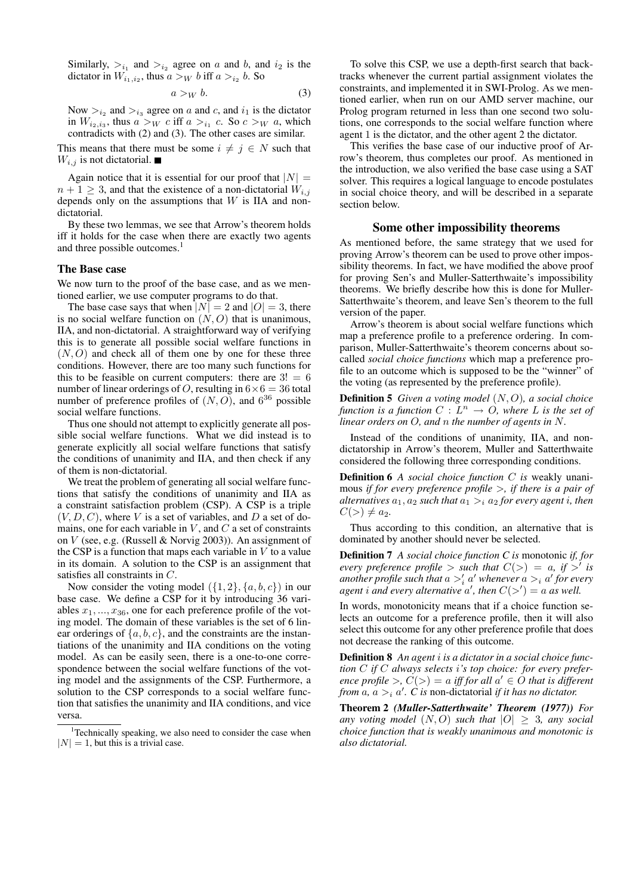Similarly,  $>_{i_1}$  and  $>_{i_2}$  agree on a and b, and  $i_2$  is the dictator in  $W_{i_1,i_2}$ , thus  $a >_W b$  iff  $a >_{i_2} b$ . So

$$
a >_W b. \tag{3}
$$

Now  $>_{i_2}$  and  $>_{i_3}$  agree on a and c, and  $i_1$  is the dictator in  $W_{i_2,i_3}$ , thus  $a >_W c$  iff  $a >_{i_1} c$ . So  $c >_W a$ , which contradicts with (2) and (3). The other cases are similar.

This means that there must be some  $i \neq j \in N$  such that  $W_{i,j}$  is not dictatorial.

Again notice that it is essential for our proof that  $|N| =$  $n + 1 \geq 3$ , and that the existence of a non-dictatorial  $W_{i,j}$ depends only on the assumptions that  $W$  is IIA and nondictatorial.

By these two lemmas, we see that Arrow's theorem holds iff it holds for the case when there are exactly two agents and three possible outcomes.<sup>1</sup>

#### The Base case

We now turn to the proof of the base case, and as we mentioned earlier, we use computer programs to do that.

The base case says that when  $|N| = 2$  and  $|O| = 3$ , there is no social welfare function on  $(N, O)$  that is unanimous, IIA, and non-dictatorial. A straightforward way of verifying this is to generate all possible social welfare functions in  $(N, O)$  and check all of them one by one for these three conditions. However, there are too many such functions for this to be feasible on current computers: there are  $3! = 6$ number of linear orderings of O, resulting in  $6 \times 6 = 36$  total number of preference profiles of  $(N, O)$ , and  $6^{36}$  possible social welfare functions.

Thus one should not attempt to explicitly generate all possible social welfare functions. What we did instead is to generate explicitly all social welfare functions that satisfy the conditions of unanimity and IIA, and then check if any of them is non-dictatorial.

We treat the problem of generating all social welfare functions that satisfy the conditions of unanimity and IIA as a constraint satisfaction problem (CSP). A CSP is a triple  $(V, D, C)$ , where V is a set of variables, and D a set of domains, one for each variable in  $V$ , and  $C$  a set of constraints on V (see, e.g. (Russell & Norvig 2003)). An assignment of the CSP is a function that maps each variable in  $V$  to a value in its domain. A solution to the CSP is an assignment that satisfies all constraints in C.

Now consider the voting model  $({1, 2}, {a, b, c})$  in our base case. We define a CSP for it by introducing 36 variables  $x_1, \ldots, x_{36}$ , one for each preference profile of the voting model. The domain of these variables is the set of 6 linear orderings of  $\{a, b, c\}$ , and the constraints are the instantiations of the unanimity and IIA conditions on the voting model. As can be easily seen, there is a one-to-one correspondence between the social welfare functions of the voting model and the assignments of the CSP. Furthermore, a solution to the CSP corresponds to a social welfare function that satisfies the unanimity and IIA conditions, and vice versa.

To solve this CSP, we use a depth-first search that backtracks whenever the current partial assignment violates the constraints, and implemented it in SWI-Prolog. As we mentioned earlier, when run on our AMD server machine, our Prolog program returned in less than one second two solutions, one corresponds to the social welfare function where agent 1 is the dictator, and the other agent 2 the dictator.

This verifies the base case of our inductive proof of Arrow's theorem, thus completes our proof. As mentioned in the introduction, we also verified the base case using a SAT solver. This requires a logical language to encode postulates in social choice theory, and will be described in a separate section below.

## Some other impossibility theorems

As mentioned before, the same strategy that we used for proving Arrow's theorem can be used to prove other impossibility theorems. In fact, we have modified the above proof for proving Sen's and Muller-Satterthwaite's impossibility theorems. We briefly describe how this is done for Muller-Satterthwaite's theorem, and leave Sen's theorem to the full version of the paper.

Arrow's theorem is about social welfare functions which map a preference profile to a preference ordering. In comparison, Muller-Satterthwaite's theorem concerns about socalled *social choice functions* which map a preference profile to an outcome which is supposed to be the "winner" of the voting (as represented by the preference profile).

Definition 5 *Given a voting model* (N, O)*, a social choice function is a function*  $C: L^n \to O$ , where L is the set of *linear orders on* O*, and* n *the number of agents in* N*.*

Instead of the conditions of unanimity, IIA, and nondictatorship in Arrow's theorem, Muller and Satterthwaite considered the following three corresponding conditions.

Definition 6 *A social choice function* C *is* weakly unanimous *if for every preference profile* >*, if there is a pair of alternatives*  $a_1$ ,  $a_2$  *such that*  $a_1 >_i a_2$  *for every agent i, then*  $C(>) \neq a_2.$ 

Thus according to this condition, an alternative that is dominated by another should never be selected.

Definition 7 *A social choice function C is* monotonic *if, for every preference profile*  $>$  *such that*  $C(>) = a$ , *if*  $>'$  *is* another profile such that  $a >'_i a'$  whenever  $a >_i a'$  for every *agent i and every alternative a', then*  $C(>\') = a$  *as well.* 

In words, monotonicity means that if a choice function selects an outcome for a preference profile, then it will also select this outcome for any other preference profile that does not decrease the ranking of this outcome.

Definition 8 *An agent* i *is a dictator in a social choice function* C *if* C *always selects* i*'s top choice: for every preference profile* >,  $C(>) = a$  *iff for all*  $a' \in O$  *that is different from*  $\alpha$ ,  $\alpha >_i \alpha'$ . *C* is non-dictatorial *if it has no dictator.* 

Theorem 2 *(Muller-Satterthwaite' Theorem (1977)) For any voting model*  $(N, O)$  *such that*  $|O| \geq 3$ *, any social choice function that is weakly unanimous and monotonic is also dictatorial.*

 $1$ Technically speaking, we also need to consider the case when  $|N| = 1$ , but this is a trivial case.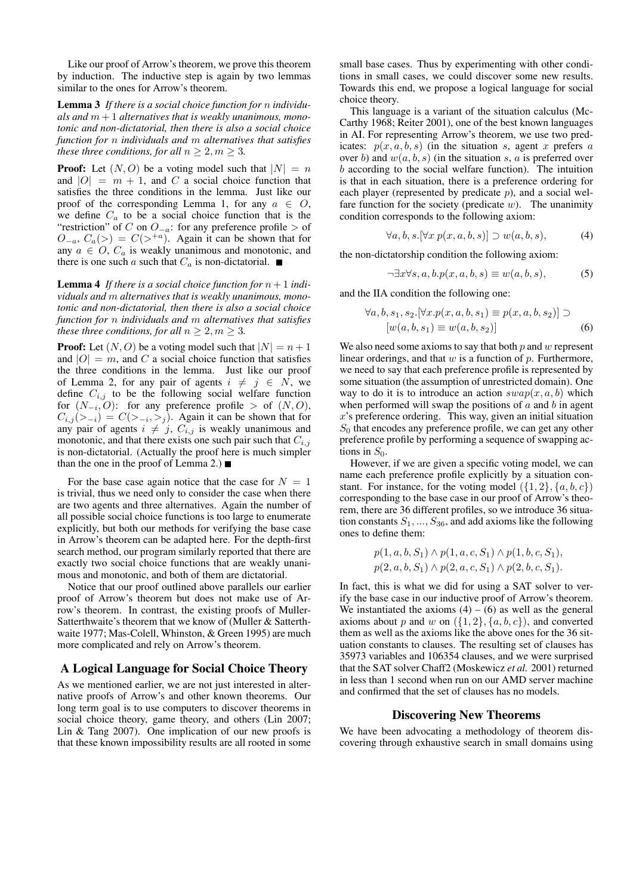Like our proof of Arrow's theorem, we prove this theorem by induction. The inductive step is again by two lemmas similar to the ones for Arrow's theorem.

Lemma 3 *If there is a social choice function for* n *individu*als and  $m+1$  alternatives that is weakly unanimous, mono*tonic and non-dictatorial, then there is also a social choice function for* n *individuals and* m *alternatives that satisfies these three conditions, for all*  $n > 2, m > 3$ .

**Proof:** Let  $(N, O)$  be a voting model such that  $|N| = n$ and  $|O| = m + 1$ , and C a social choice function that satisfies the three conditions in the lemma. Just like our proof of the corresponding Lemma 1, for any  $a \in O$ , we define  $C_a$  to be a social choice function that is the "restriction" of C on  $O_{-a}$ : for any preference profile > of  $O_{-a}$ ,  $C_a$ (>) =  $C$ (><sup>+a</sup>). Again it can be shown that for any  $a \in O$ ,  $C_a$  is weakly unanimous and monotonic, and there is one such a such that  $C_a$  is non-dictatorial.

**Lemma 4** If there is a social choice function for  $n + 1$  indi*viduals and* m *alternatives that is weakly unanimous, monotonic and non-dictatorial, then there is also a social choice function for* n *individuals and* m *alternatives that satisfies these three conditions, for all*  $n \geq 2, m \geq 3$ *.* 

**Proof:** Let  $(N, O)$  be a voting model such that  $|N| = n + 1$ and  $|O| = m$ , and C a social choice function that satisfies the three conditions in the lemma. Just like our proof of Lemma 2, for any pair of agents  $i \neq j \in N$ , we define  $C_{i,j}$  to be the following social welfare function for  $(N_{-i}, O)$ : for any preference profile > of  $(N, O)$ ,  $C_{i,j}(\gt_{-i}) = C(\gt_{-i}, \gt_j)$ . Again it can be shown that for any pair of agents  $i \neq j$ ,  $C_{i,j}$  is weakly unanimous and monotonic, and that there exists one such pair such that  $C_{i,j}$ is non-dictatorial. (Actually the proof here is much simpler than the one in the proof of Lemma 2.)  $\blacksquare$ 

For the base case again notice that the case for  $N = 1$ is trivial, thus we need only to consider the case when there are two agents and three alternatives. Again the number of all possible social choice functions is too large to enumerate explicitly, but both our methods for verifying the base case in Arrow's theorem can be adapted here. For the depth-first search method, our program similarly reported that there are exactly two social choice functions that are weakly unanimous and monotonic, and both of them are dictatorial.

Notice that our proof outlined above parallels our earlier proof of Arrow's theorem but does not make use of Arrow's theorem. In contrast, the existing proofs of Muller-Satterthwaite's theorem that we know of (Muller & Satterthwaite 1977; Mas-Colell, Whinston, & Green 1995) are much more complicated and rely on Arrow's theorem.

# A Logical Language for Social Choice Theory

As we mentioned earlier, we are not just interested in alternative proofs of Arrow's and other known theorems. Our long term goal is to use computers to discover theorems in social choice theory, game theory, and others (Lin 2007; Lin & Tang 2007). One implication of our new proofs is that these known impossibility results are all rooted in some

small base cases. Thus by experimenting with other conditions in small cases, we could discover some new results. Towards this end, we propose a logical language for social choice theory.

This language is a variant of the situation calculus (Mc-Carthy 1968; Reiter 2001), one of the best known languages in AI. For representing Arrow's theorem, we use two predicates:  $p(x, a, b, s)$  (in the situation s, agent x prefers a over b) and  $w(a, b, s)$  (in the situation s, a is preferred over b according to the social welfare function). The intuition is that in each situation, there is a preference ordering for each player (represented by predicate  $p$ ), and a social welfare function for the society (predicate  $w$ ). The unanimity condition corresponds to the following axiom:

$$
\forall a, b, s. [\forall x \ p(x, a, b, s)] \supset w(a, b, s), \tag{4}
$$

the non-dictatorship condition the following axiom:

$$
\neg \exists x \forall s, a, b. p(x, a, b, s) \equiv w(a, b, s), \tag{5}
$$

and the IIA condition the following one:

$$
\forall a, b, s_1, s_2. [\forall x. p(x, a, b, s_1) \equiv p(x, a, b, s_2)] \supset [w(a, b, s_1) \equiv w(a, b, s_2)] \tag{6}
$$

We also need some axioms to say that both  $p$  and  $w$  represent linear orderings, and that  $w$  is a function of  $p$ . Furthermore, we need to say that each preference profile is represented by some situation (the assumption of unrestricted domain). One way to do it is to introduce an action  $swap(x, a, b)$  which when performed will swap the positions of  $a$  and  $b$  in agent  $x$ 's preference ordering. This way, given an initial situation  $S_0$  that encodes any preference profile, we can get any other preference profile by performing a sequence of swapping actions in  $S_0$ .

However, if we are given a specific voting model, we can name each preference profile explicitly by a situation constant. For instance, for the voting model  $({1, 2}, {a, b, c})$ corresponding to the base case in our proof of Arrow's theorem, there are 36 different profiles, so we introduce 36 situation constants  $S_1, ..., S_{36}$ , and add axioms like the following ones to define them:

$$
p(1, a, b, S_1) \land p(1, a, c, S_1) \land p(1, b, c, S_1),
$$
  

$$
p(2, a, b, S_1) \land p(2, a, c, S_1) \land p(2, b, c, S_1).
$$

In fact, this is what we did for using a SAT solver to verify the base case in our inductive proof of Arrow's theorem. We instantiated the axioms  $(4) - (6)$  as well as the general axioms about p and w on  $({1, 2}, {a, b, c})$ , and converted them as well as the axioms like the above ones for the 36 situation constants to clauses. The resulting set of clauses has 35973 variables and 106354 clauses, and we were surprised that the SAT solver Chaff2 (Moskewicz *et al.* 2001) returned in less than 1 second when run on our AMD server machine and confirmed that the set of clauses has no models.

## Discovering New Theorems

We have been advocating a methodology of theorem discovering through exhaustive search in small domains using